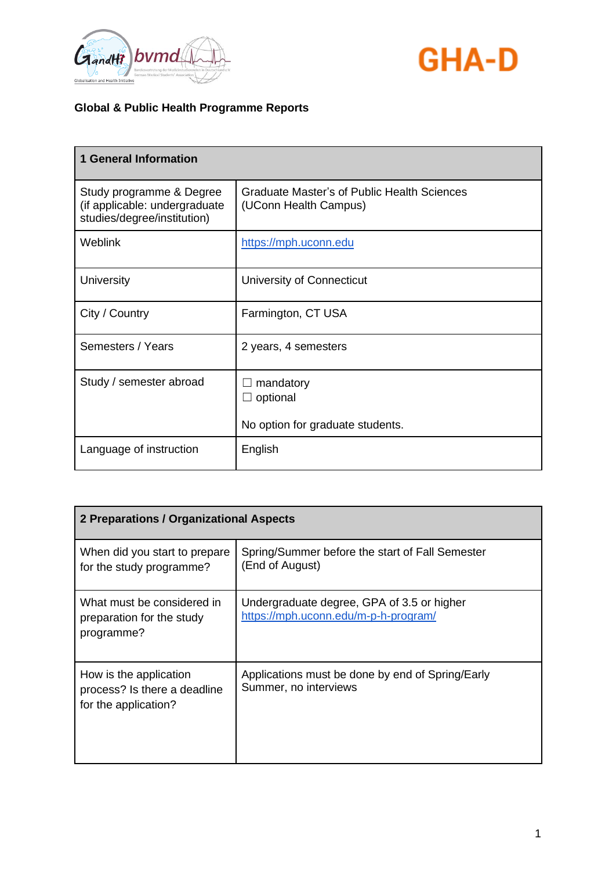



| <b>1 General Information</b>                                                             |                                                                      |
|------------------------------------------------------------------------------------------|----------------------------------------------------------------------|
| Study programme & Degree<br>(if applicable: undergraduate<br>studies/degree/institution) | Graduate Master's of Public Health Sciences<br>(UConn Health Campus) |
| <b>Weblink</b>                                                                           | https://mph.uconn.edu                                                |
| <b>University</b>                                                                        | University of Connecticut                                            |
| City / Country                                                                           | Farmington, CT USA                                                   |
| Semesters / Years                                                                        | 2 years, 4 semesters                                                 |
| Study / semester abroad                                                                  | mandatory<br>optional<br>No option for graduate students.            |
| Language of instruction                                                                  | English                                                              |

| 2 Preparations / Organizational Aspects                                        |                                                                                    |
|--------------------------------------------------------------------------------|------------------------------------------------------------------------------------|
| When did you start to prepare<br>for the study programme?                      | Spring/Summer before the start of Fall Semester<br>(End of August)                 |
| What must be considered in<br>preparation for the study<br>programme?          | Undergraduate degree, GPA of 3.5 or higher<br>https://mph.uconn.edu/m-p-h-program/ |
| How is the application<br>process? Is there a deadline<br>for the application? | Applications must be done by end of Spring/Early<br>Summer, no interviews          |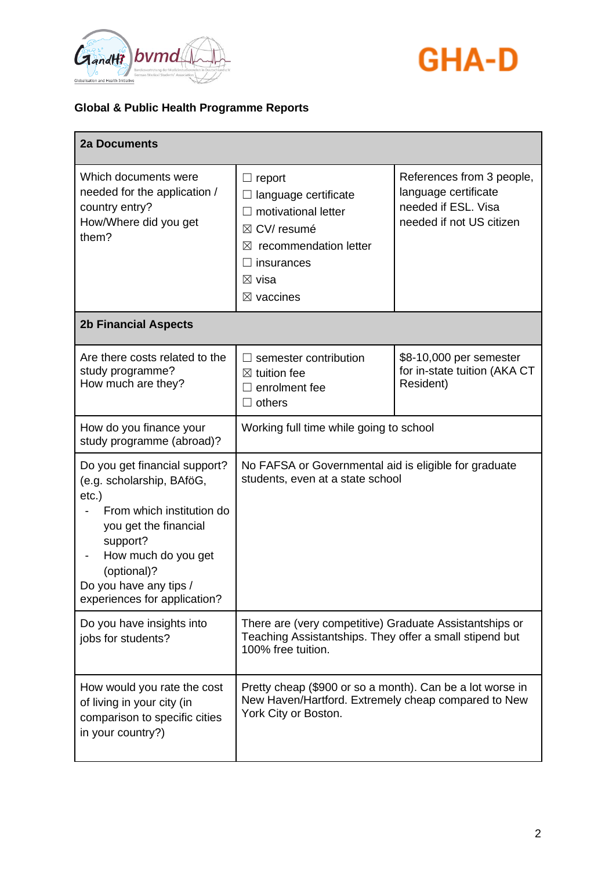



| <b>2a Documents</b>                                                                                                                                                                                                                      |                                                                                                                                                                                      |                                                                                                      |
|------------------------------------------------------------------------------------------------------------------------------------------------------------------------------------------------------------------------------------------|--------------------------------------------------------------------------------------------------------------------------------------------------------------------------------------|------------------------------------------------------------------------------------------------------|
| Which documents were<br>needed for the application /<br>country entry?<br>How/Where did you get<br>them?                                                                                                                                 | report<br>ш<br>language certificate<br>motivational letter<br>$\boxtimes$ CV/ resumé<br>recommendation letter<br>$\bowtie$<br>insurances<br>$\boxtimes$ visa<br>$\boxtimes$ vaccines | References from 3 people,<br>language certificate<br>needed if ESL. Visa<br>needed if not US citizen |
| <b>2b Financial Aspects</b>                                                                                                                                                                                                              |                                                                                                                                                                                      |                                                                                                      |
| Are there costs related to the<br>study programme?<br>How much are they?                                                                                                                                                                 | semester contribution<br>$\boxtimes$ tuition fee<br>enrolment fee<br>others                                                                                                          | \$8-10,000 per semester<br>for in-state tuition (AKA CT<br>Resident)                                 |
| How do you finance your<br>study programme (abroad)?                                                                                                                                                                                     | Working full time while going to school                                                                                                                                              |                                                                                                      |
| Do you get financial support?<br>(e.g. scholarship, BAföG,<br>$etc.$ )<br>From which institution do<br>you get the financial<br>support?<br>How much do you get<br>(optional)?<br>Do you have any tips /<br>experiences for application? | No FAFSA or Governmental aid is eligible for graduate<br>students, even at a state school                                                                                            |                                                                                                      |
| Do you have insights into<br>jobs for students?                                                                                                                                                                                          | There are (very competitive) Graduate Assistantships or<br>Teaching Assistantships. They offer a small stipend but<br>100% free tuition.                                             |                                                                                                      |
| How would you rate the cost<br>of living in your city (in<br>comparison to specific cities<br>in your country?)                                                                                                                          | Pretty cheap (\$900 or so a month). Can be a lot worse in<br>New Haven/Hartford. Extremely cheap compared to New<br>York City or Boston.                                             |                                                                                                      |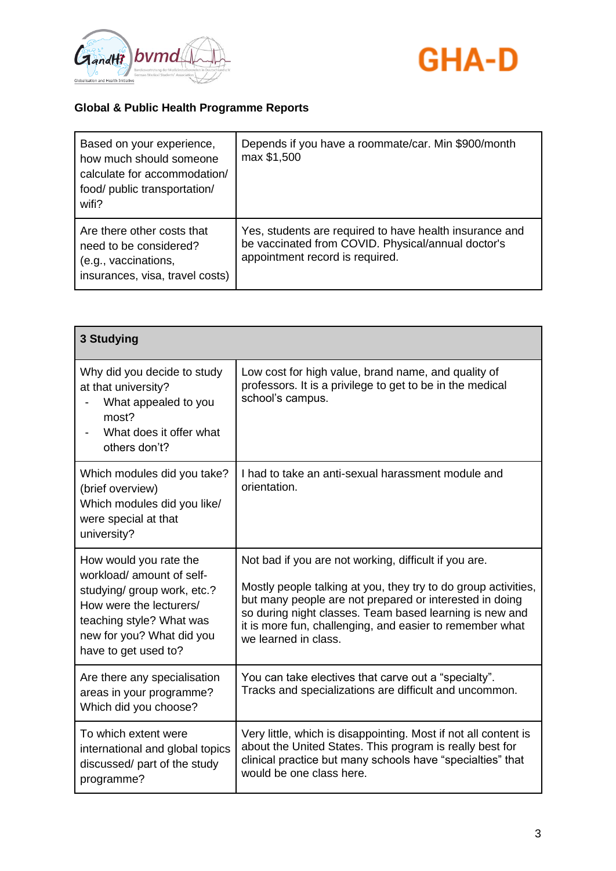



| Based on your experience,<br>how much should someone<br>calculate for accommodation/<br>food/ public transportation/<br>wifi? | Depends if you have a roommate/car. Min \$900/month<br>max \$1,500                                                                               |
|-------------------------------------------------------------------------------------------------------------------------------|--------------------------------------------------------------------------------------------------------------------------------------------------|
| Are there other costs that<br>need to be considered?<br>(e.g., vaccinations,<br>insurances, visa, travel costs)               | Yes, students are required to have health insurance and<br>be vaccinated from COVID. Physical/annual doctor's<br>appointment record is required. |

| <b>3 Studying</b>                                                                                                                                                                             |                                                                                                                                                                                                                                                                                                                                   |
|-----------------------------------------------------------------------------------------------------------------------------------------------------------------------------------------------|-----------------------------------------------------------------------------------------------------------------------------------------------------------------------------------------------------------------------------------------------------------------------------------------------------------------------------------|
| Why did you decide to study<br>at that university?<br>What appealed to you<br>most?<br>What does it offer what<br>others don't?                                                               | Low cost for high value, brand name, and quality of<br>professors. It is a privilege to get to be in the medical<br>school's campus.                                                                                                                                                                                              |
| Which modules did you take?<br>(brief overview)<br>Which modules did you like/<br>were special at that<br>university?                                                                         | I had to take an anti-sexual harassment module and<br>orientation.                                                                                                                                                                                                                                                                |
| How would you rate the<br>workload/amount of self-<br>studying/ group work, etc.?<br>How were the lecturers/<br>teaching style? What was<br>new for you? What did you<br>have to get used to? | Not bad if you are not working, difficult if you are.<br>Mostly people talking at you, they try to do group activities,<br>but many people are not prepared or interested in doing<br>so during night classes. Team based learning is new and<br>it is more fun, challenging, and easier to remember what<br>we learned in class. |
| Are there any specialisation<br>areas in your programme?<br>Which did you choose?                                                                                                             | You can take electives that carve out a "specialty".<br>Tracks and specializations are difficult and uncommon.                                                                                                                                                                                                                    |
| To which extent were<br>international and global topics<br>discussed/ part of the study<br>programme?                                                                                         | Very little, which is disappointing. Most if not all content is<br>about the United States. This program is really best for<br>clinical practice but many schools have "specialties" that<br>would be one class here.                                                                                                             |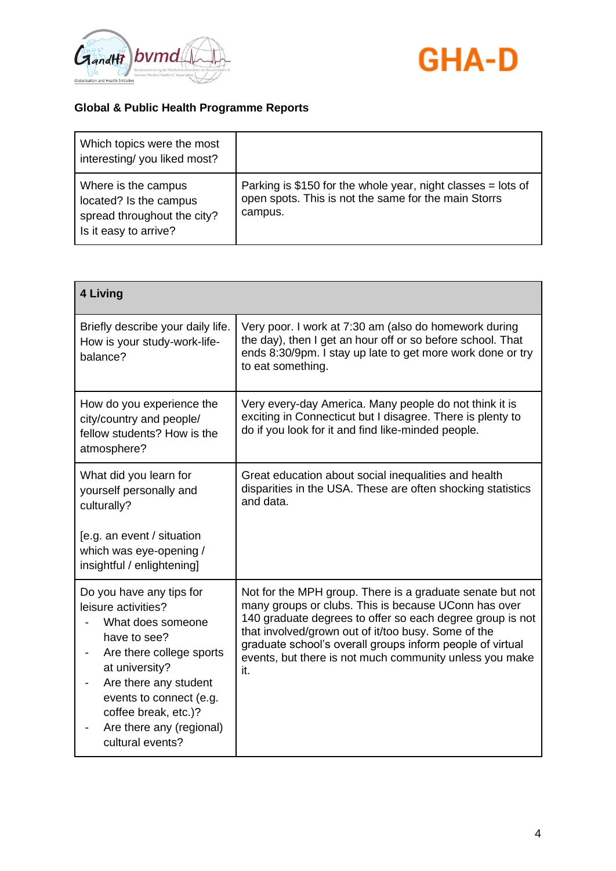



| Which topics were the most<br>interesting/you liked most?                                             |                                                                                                                                 |
|-------------------------------------------------------------------------------------------------------|---------------------------------------------------------------------------------------------------------------------------------|
| Where is the campus<br>located? Is the campus<br>spread throughout the city?<br>Is it easy to arrive? | Parking is \$150 for the whole year, night classes = lots of<br>open spots. This is not the same for the main Storrs<br>campus. |

| 4 Living                                                                                                                                                                                                                                                       |                                                                                                                                                                                                                                                                                                                                                                      |
|----------------------------------------------------------------------------------------------------------------------------------------------------------------------------------------------------------------------------------------------------------------|----------------------------------------------------------------------------------------------------------------------------------------------------------------------------------------------------------------------------------------------------------------------------------------------------------------------------------------------------------------------|
| Briefly describe your daily life.<br>How is your study-work-life-<br>balance?                                                                                                                                                                                  | Very poor. I work at 7:30 am (also do homework during<br>the day), then I get an hour off or so before school. That<br>ends 8:30/9pm. I stay up late to get more work done or try<br>to eat something.                                                                                                                                                               |
| How do you experience the<br>city/country and people/<br>fellow students? How is the<br>atmosphere?                                                                                                                                                            | Very every-day America. Many people do not think it is<br>exciting in Connecticut but I disagree. There is plenty to<br>do if you look for it and find like-minded people.                                                                                                                                                                                           |
| What did you learn for<br>yourself personally and<br>culturally?<br>[e.g. an event / situation<br>which was eye-opening /<br>insightful / enlightening]                                                                                                        | Great education about social inequalities and health<br>disparities in the USA. These are often shocking statistics<br>and data.                                                                                                                                                                                                                                     |
| Do you have any tips for<br>leisure activities?<br>What does someone<br>have to see?<br>Are there college sports<br>at university?<br>Are there any student<br>events to connect (e.g.<br>coffee break, etc.)?<br>Are there any (regional)<br>cultural events? | Not for the MPH group. There is a graduate senate but not<br>many groups or clubs. This is because UConn has over<br>140 graduate degrees to offer so each degree group is not<br>that involved/grown out of it/too busy. Some of the<br>graduate school's overall groups inform people of virtual<br>events, but there is not much community unless you make<br>it. |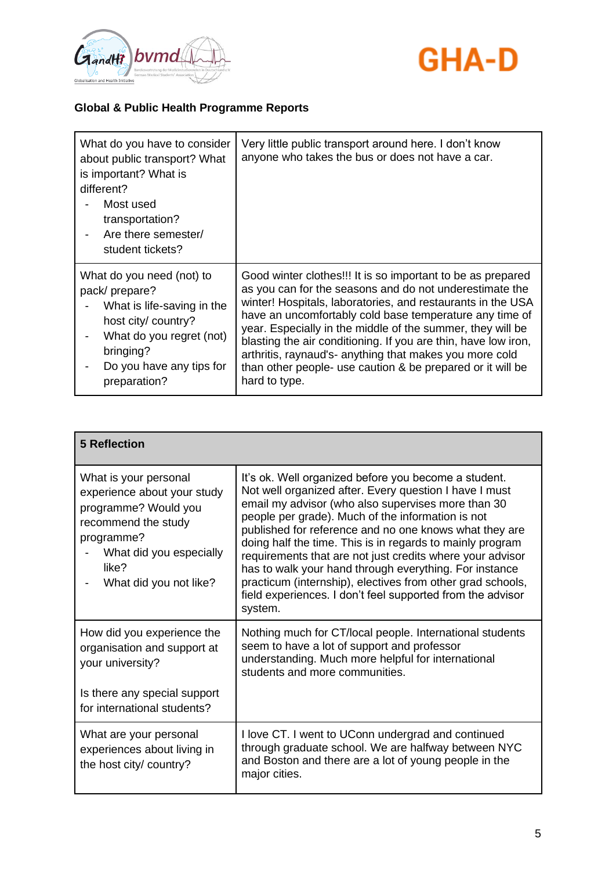



| What do you have to consider<br>about public transport? What<br>is important? What is<br>different?<br>Most used<br>transportation?<br>Are there semester/<br>student tickets?       | Very little public transport around here. I don't know<br>anyone who takes the bus or does not have a car.                                                                                                                                                                                                                                                                                                                                                                                                                 |
|--------------------------------------------------------------------------------------------------------------------------------------------------------------------------------------|----------------------------------------------------------------------------------------------------------------------------------------------------------------------------------------------------------------------------------------------------------------------------------------------------------------------------------------------------------------------------------------------------------------------------------------------------------------------------------------------------------------------------|
| What do you need (not) to<br>pack/prepare?<br>What is life-saving in the<br>host city/ country?<br>What do you regret (not)<br>bringing?<br>Do you have any tips for<br>preparation? | Good winter clothes!!! It is so important to be as prepared<br>as you can for the seasons and do not underestimate the<br>winter! Hospitals, laboratories, and restaurants in the USA<br>have an uncomfortably cold base temperature any time of<br>year. Especially in the middle of the summer, they will be<br>blasting the air conditioning. If you are thin, have low iron,<br>arthritis, raynaud's- anything that makes you more cold<br>than other people- use caution & be prepared or it will be<br>hard to type. |

| <b>5 Reflection</b>                                                                                                                                                             |                                                                                                                                                                                                                                                                                                                                                                                                                                                                                                                                                                                                                |
|---------------------------------------------------------------------------------------------------------------------------------------------------------------------------------|----------------------------------------------------------------------------------------------------------------------------------------------------------------------------------------------------------------------------------------------------------------------------------------------------------------------------------------------------------------------------------------------------------------------------------------------------------------------------------------------------------------------------------------------------------------------------------------------------------------|
| What is your personal<br>experience about your study<br>programme? Would you<br>recommend the study<br>programme?<br>What did you especially<br>like?<br>What did you not like? | It's ok. Well organized before you become a student.<br>Not well organized after. Every question I have I must<br>email my advisor (who also supervises more than 30<br>people per grade). Much of the information is not<br>published for reference and no one knows what they are<br>doing half the time. This is in regards to mainly program<br>requirements that are not just credits where your advisor<br>has to walk your hand through everything. For instance<br>practicum (internship), electives from other grad schools,<br>field experiences. I don't feel supported from the advisor<br>system. |
| How did you experience the<br>organisation and support at<br>your university?<br>Is there any special support<br>for international students?                                    | Nothing much for CT/local people. International students<br>seem to have a lot of support and professor<br>understanding. Much more helpful for international<br>students and more communities.                                                                                                                                                                                                                                                                                                                                                                                                                |
| What are your personal<br>experiences about living in<br>the host city/ country?                                                                                                | I love CT. I went to UConn undergrad and continued<br>through graduate school. We are halfway between NYC<br>and Boston and there are a lot of young people in the<br>major cities.                                                                                                                                                                                                                                                                                                                                                                                                                            |